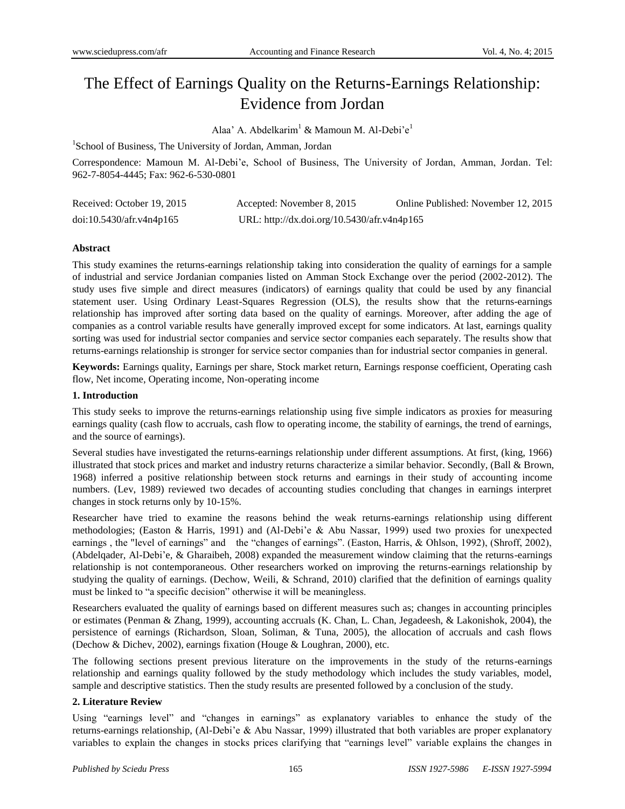# The Effect of Earnings Quality on the Returns-Earnings Relationship: Evidence from Jordan

Alaa' A. Abdelkarim<sup>1</sup> & Mamoun M. Al-Debi'e<sup>1</sup>

<sup>1</sup>School of Business, The University of Jordan, Amman, Jordan

Correspondence: Mamoun M. Al-Debi'e, School of Business, The University of Jordan, Amman, Jordan. Tel: 962-7-8054-4445; Fax: 962-6-530-0801

| Received: October 19, 2015 | Accepted: November 8, 2015                  | Online Published: November 12, 2015 |
|----------------------------|---------------------------------------------|-------------------------------------|
| doi:10.5430/afr.v4n4p165   | URL: http://dx.doi.org/10.5430/afr.v4n4p165 |                                     |

#### **Abstract**

This study examines the returns-earnings relationship taking into consideration the quality of earnings for a sample of industrial and service Jordanian companies listed on Amman Stock Exchange over the period (2002-2012). The study uses five simple and direct measures (indicators) of earnings quality that could be used by any financial statement user. Using Ordinary Least-Squares Regression (OLS), the results show that the returns-earnings relationship has improved after sorting data based on the quality of earnings. Moreover, after adding the age of companies as a control variable results have generally improved except for some indicators. At last, earnings quality sorting was used for industrial sector companies and service sector companies each separately. The results show that returns-earnings relationship is stronger for service sector companies than for industrial sector companies in general.

**Keywords:** Earnings quality, Earnings per share, Stock market return, Earnings response coefficient, Operating cash flow, Net income, Operating income, Non-operating income

### **1. Introduction**

This study seeks to improve the returns-earnings relationship using five simple indicators as proxies for measuring earnings quality (cash flow to accruals, cash flow to operating income, the stability of earnings, the trend of earnings, and the source of earnings).

Several studies have investigated the returns-earnings relationship under different assumptions. At first, (king, 1966) illustrated that stock prices and market and industry returns characterize a similar behavior. Secondly, (Ball & Brown, 1968) inferred a positive relationship between stock returns and earnings in their study of accounting income numbers. (Lev, 1989) reviewed two decades of accounting studies concluding that changes in earnings interpret changes in stock returns only by 10-15%.

Researcher have tried to examine the reasons behind the weak returns-earnings relationship using different methodologies; (Easton & Harris, 1991) and (Al-Debi'e & Abu Nassar, 1999) used two proxies for unexpected earnings, the "level of earnings" and the "changes of earnings". (Easton, Harris, & Ohlson, 1992), (Shroff, 2002), (Abdelqader, Al-Debi'e, & Gharaibeh, 2008) expanded the measurement window claiming that the returns-earnings relationship is not contemporaneous. Other researchers worked on improving the returns-earnings relationship by studying the quality of earnings. (Dechow, Weili,  $\&$  Schrand, 2010) clarified that the definition of earnings quality must be linked to "a specific decision" otherwise it will be meaningless.

Researchers evaluated the quality of earnings based on different measures such as; changes in accounting principles or estimates (Penman & Zhang, 1999), accounting accruals (K. Chan, L. Chan, Jegadeesh, & Lakonishok, 2004), the persistence of earnings (Richardson, Sloan, Soliman, & Tuna, 2005), the allocation of accruals and cash flows (Dechow & Dichev, 2002), earnings fixation (Houge & Loughran, 2000), etc.

The following sections present previous literature on the improvements in the study of the returns-earnings relationship and earnings quality followed by the study methodology which includes the study variables, model, sample and descriptive statistics. Then the study results are presented followed by a conclusion of the study.

#### **2. Literature Review**

Using "earnings level" and "changes in earnings" as explanatory variables to enhance the study of the returns-earnings relationship, (Al-Debi'e & Abu Nassar, 1999) illustrated that both variables are proper explanatory variables to explain the changes in stocks prices clarifying that "earnings level" variable explains the changes in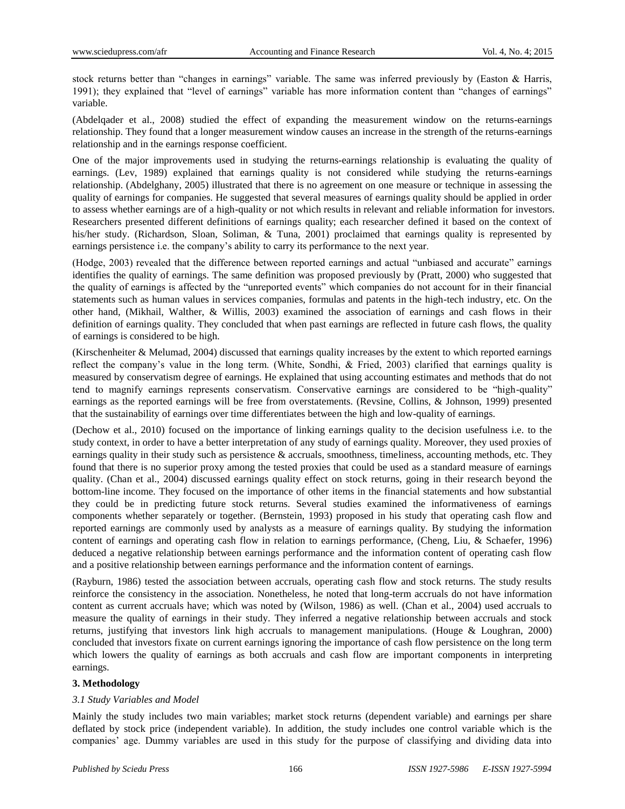stock returns better than "changes in earnings" variable. The same was inferred previously by (Easton & Harris, 1991); they explained that "level of earnings" variable has more information content than "changes of earnings" variable.

(Abdelqader et al., 2008) studied the effect of expanding the measurement window on the returns-earnings relationship. They found that a longer measurement window causes an increase in the strength of the returns-earnings relationship and in the earnings response coefficient.

One of the major improvements used in studying the returns-earnings relationship is evaluating the quality of earnings. (Lev, 1989) explained that earnings quality is not considered while studying the returns-earnings relationship. (Abdelghany, 2005) illustrated that there is no agreement on one measure or technique in assessing the quality of earnings for companies. He suggested that several measures of earnings quality should be applied in order to assess whether earnings are of a high-quality or not which results in relevant and reliable information for investors. Researchers presented different definitions of earnings quality; each researcher defined it based on the context of his/her study. (Richardson, Sloan, Soliman, & Tuna, 2001) proclaimed that earnings quality is represented by earnings persistence i.e. the company's ability to carry its performance to the next year.

(Hodge, 2003) revealed that the difference between reported earnings and actual "unbiased and accurate" earnings identifies the quality of earnings. The same definition was proposed previously by (Pratt, 2000) who suggested that the quality of earnings is affected by the "unreported events" which companies do not account for in their financial statements such as human values in services companies, formulas and patents in the high-tech industry, etc. On the other hand, (Mikhail, Walther, & Willis, 2003) examined the association of earnings and cash flows in their definition of earnings quality. They concluded that when past earnings are reflected in future cash flows, the quality of earnings is considered to be high.

(Kirschenheiter & Melumad, 2004) discussed that earnings quality increases by the extent to which reported earnings reflect the company's value in the long term. (White, Sondhi, & Fried, 2003) clarified that earnings quality is measured by conservatism degree of earnings. He explained that using accounting estimates and methods that do not tend to magnify earnings represents conservatism. Conservative earnings are considered to be "high-quality" earnings as the reported earnings will be free from overstatements. (Revsine, Collins, & Johnson, 1999) presented that the sustainability of earnings over time differentiates between the high and low-quality of earnings.

(Dechow et al., 2010) focused on the importance of linking earnings quality to the decision usefulness i.e. to the study context, in order to have a better interpretation of any study of earnings quality. Moreover, they used proxies of earnings quality in their study such as persistence  $\&$  accruals, smoothness, timeliness, accounting methods, etc. They found that there is no superior proxy among the tested proxies that could be used as a standard measure of earnings quality. (Chan et al., 2004) discussed earnings quality effect on stock returns, going in their research beyond the bottom-line income. They focused on the importance of other items in the financial statements and how substantial they could be in predicting future stock returns. Several studies examined the informativeness of earnings components whether separately or together. (Bernstein, 1993) proposed in his study that operating cash flow and reported earnings are commonly used by analysts as a measure of earnings quality. By studying the information content of earnings and operating cash flow in relation to earnings performance, (Cheng, Liu, & Schaefer, 1996) deduced a negative relationship between earnings performance and the information content of operating cash flow and a positive relationship between earnings performance and the information content of earnings.

(Rayburn, 1986) tested the association between accruals, operating cash flow and stock returns. The study results reinforce the consistency in the association. Nonetheless, he noted that long-term accruals do not have information content as current accruals have; which was noted by (Wilson, 1986) as well. (Chan et al., 2004) used accruals to measure the quality of earnings in their study. They inferred a negative relationship between accruals and stock returns, justifying that investors link high accruals to management manipulations. (Houge & Loughran, 2000) concluded that investors fixate on current earnings ignoring the importance of cash flow persistence on the long term which lowers the quality of earnings as both accruals and cash flow are important components in interpreting earnings.

## **3. Methodology**

## *3.1 Study Variables and Model*

Mainly the study includes two main variables; market stock returns (dependent variable) and earnings per share deflated by stock price (independent variable). In addition, the study includes one control variable which is the companies' age. Dummy variables are used in this study for the purpose of classifying and dividing data into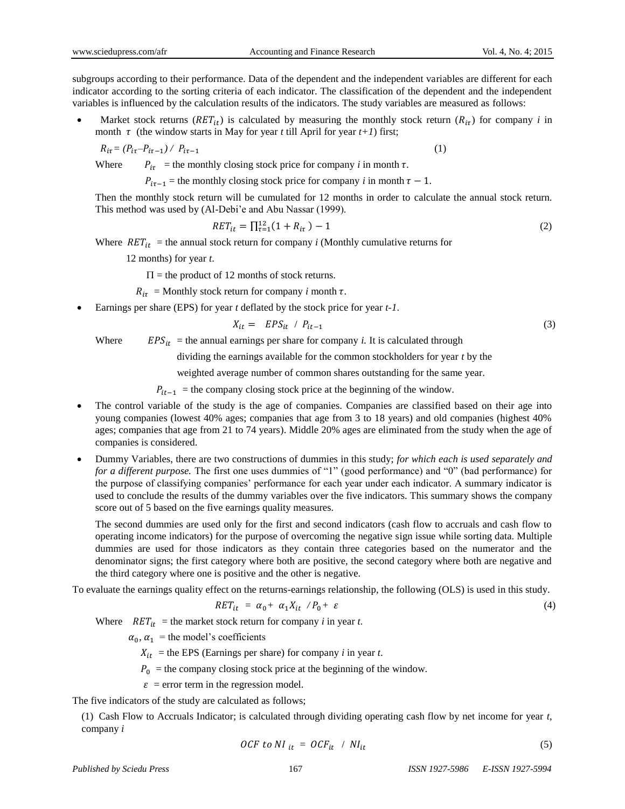subgroups according to their performance. Data of the dependent and the independent variables are different for each indicator according to the sorting criteria of each indicator. The classification of the dependent and the independent variables is influenced by the calculation results of the indicators. The study variables are measured as follows:

Market stock returns ( $RET_{it}$ ) is calculated by measuring the monthly stock return ( $R_{it}$ ) for company *i* in month  $\tau$  (the window starts in May for year *t* till April for year  $t+1$ ) first;

$$
R_{i\tau} = (P_{i\tau} - P_{i\tau-1}) / P_{i\tau-1}
$$

Where  $P_{i\tau}$  = the monthly closing stock price for company *i* in month  $\tau$ .

 $P_{i\tau-1}$  = the monthly closing stock price for company *i* in month  $\tau - 1$ .

Then the monthly stock return will be cumulated for 12 months in order to calculate the annual stock return. This method was used by (Al-Debi'e and Abu Nassar (1999).

$$
RET_{it} = \prod_{\tau=1}^{12} (1 + R_{i\tau}) - 1 \tag{2}
$$

Where  $RET_{it}$  = the annual stock return for company *i* (Monthly cumulative returns for

12 months) for year *t*.

 $\Pi$  = the product of 12 months of stock returns.

 $R_{i\tau}$  = Monthly stock return for company *i* month  $\tau$ .

Earnings per share (EPS) for year *t* deflated by the stock price for year *t-1*.

$$
X_{it} = EPS_{it} / P_{it-1}
$$
 (3)

Where  $EPS_{it}$  = the annual earnings per share for company *i*. It is calculated through

dividing the earnings available for the common stockholders for year *t* by the

weighted average number of common shares outstanding for the same year.

 $P_{it-1}$  = the company closing stock price at the beginning of the window.

- The control variable of the study is the age of companies. Companies are classified based on their age into young companies (lowest 40% ages; companies that age from 3 to 18 years) and old companies (highest 40% ages; companies that age from 21 to 74 years). Middle 20% ages are eliminated from the study when the age of companies is considered.
- Dummy Variables, there are two constructions of dummies in this study; *for which each is used separately and for a different purpose.* The first one uses dummies of "1" (good performance) and "0" (bad performance) for the purpose of classifying companies' performance for each year under each indicator. A summary indicator is used to conclude the results of the dummy variables over the five indicators. This summary shows the company score out of 5 based on the five earnings quality measures.

The second dummies are used only for the first and second indicators (cash flow to accruals and cash flow to operating income indicators) for the purpose of overcoming the negative sign issue while sorting data. Multiple dummies are used for those indicators as they contain three categories based on the numerator and the denominator signs; the first category where both are positive, the second category where both are negative and the third category where one is positive and the other is negative.

To evaluate the earnings quality effect on the returns-earnings relationship, the following (OLS) is used in this study.

$$
RET_{it} = \alpha_0 + \alpha_1 X_{it} / P_0 + \varepsilon \tag{4}
$$

Where  $RET_{it}$  = the market stock return for company *i* in year *t*.

 $\alpha_0, \alpha_1$  = the model's coefficients

 $X_{it}$  = the EPS (Earnings per share) for company *i* in year *t*.

 $P_0$  = the company closing stock price at the beginning of the window.

 $\varepsilon$  = error term in the regression model.

The five indicators of the study are calculated as follows;

(1) Cash Flow to Accruals Indicator; is calculated through dividing operating cash flow by net income for year *t*, company *i*

= / (5)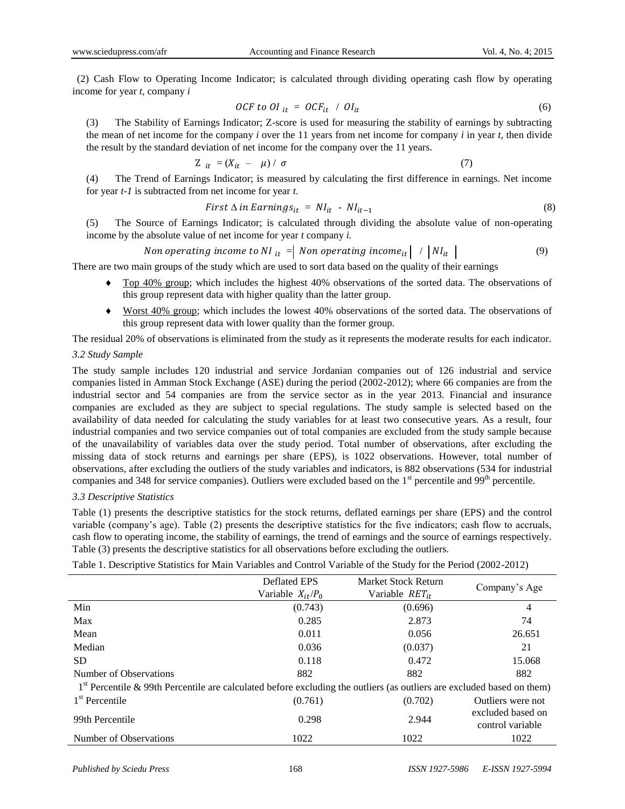(2) Cash Flow to Operating Income Indicator; is calculated through dividing operating cash flow by operating income for year *t*, company *i*

$$
OCF \ to \ OI_{it} = OCF_{it} \ / \ OI_{it} \tag{6}
$$

(3) The Stability of Earnings Indicator; Z-score is used for measuring the stability of earnings by subtracting the mean of net income for the company *i* over the 11 years from net income for company *i* in year *t*, then divide the result by the standard deviation of net income for the company over the 11 years.

$$
Z_{it} = (X_{it} - \mu) / \sigma \tag{7}
$$

(4) The Trend of Earnings Indicator; is measured by calculating the first difference in earnings. Net income for year *t-1* is subtracted from net income for year *t*.

$$
First \Delta in \: EarningS_{it} = NI_{it} - NI_{it-1} \tag{8}
$$

(5) The Source of Earnings Indicator; is calculated through dividing the absolute value of non-operating income by the absolute value of net income for year *t* company *i.*

Non operating income to NI 
$$
_{it}
$$
 = | Non operating income<sub>it</sub>| / |NI<sub>it</sub>| (9)

There are two main groups of the study which are used to sort data based on the quality of their earnings

- Top 40% group; which includes the highest 40% observations of the sorted data. The observations of this group represent data with higher quality than the latter group.
- Worst 40% group; which includes the lowest 40% observations of the sorted data. The observations of this group represent data with lower quality than the former group.

The residual 20% of observations is eliminated from the study as it represents the moderate results for each indicator.

#### *3.2 Study Sample*

The study sample includes 120 industrial and service Jordanian companies out of 126 industrial and service companies listed in Amman Stock Exchange (ASE) during the period (2002-2012); where 66 companies are from the industrial sector and 54 companies are from the service sector as in the year 2013. Financial and insurance companies are excluded as they are subject to special regulations. The study sample is selected based on the availability of data needed for calculating the study variables for at least two consecutive years. As a result, four industrial companies and two service companies out of total companies are excluded from the study sample because of the unavailability of variables data over the study period. Total number of observations, after excluding the missing data of stock returns and earnings per share (EPS), is 1022 observations. However, total number of observations, after excluding the outliers of the study variables and indicators, is 882 observations (534 for industrial companies and 348 for service companies). Outliers were excluded based on the 1<sup>st</sup> percentile and 99<sup>th</sup> percentile.

#### *3.3 Descriptive Statistics*

Table (1) presents the descriptive statistics for the stock returns, deflated earnings per share (EPS) and the control variable (company's age). Table (2) presents the descriptive statistics for the five indicators; cash flow to accruals, cash flow to operating income, the stability of earnings, the trend of earnings and the source of earnings respectively. Table (3) presents the descriptive statistics for all observations before excluding the outliers.

|                                                                                                                          | <b>Deflated EPS</b>   | Market Stock Return |                                       |
|--------------------------------------------------------------------------------------------------------------------------|-----------------------|---------------------|---------------------------------------|
|                                                                                                                          | Variable $X_{it}/P_0$ | Variable $RET_{it}$ | Company's Age                         |
| Min                                                                                                                      | (0.743)               | (0.696)             | 4                                     |
| Max                                                                                                                      | 0.285                 | 2.873               | 74                                    |
| Mean                                                                                                                     | 0.011                 | 0.056               | 26.651                                |
| Median                                                                                                                   | 0.036                 | (0.037)             | 21                                    |
| <b>SD</b>                                                                                                                | 0.118                 | 0.472               | 15.068                                |
| Number of Observations                                                                                                   | 882                   | 882                 | 882                                   |
| $1st$ Percentile & 99th Percentile are calculated before excluding the outliers (as outliers are excluded based on them) |                       |                     |                                       |
| 1 <sup>st</sup> Percentile                                                                                               | (0.761)               | (0.702)             | Outliers were not                     |
| 99th Percentile                                                                                                          | 0.298                 | 2.944               | excluded based on<br>control variable |
| Number of Observations                                                                                                   | 1022                  | 1022                | 1022                                  |

Table 1. Descriptive Statistics for Main Variables and Control Variable of the Study for the Period (2002-2012)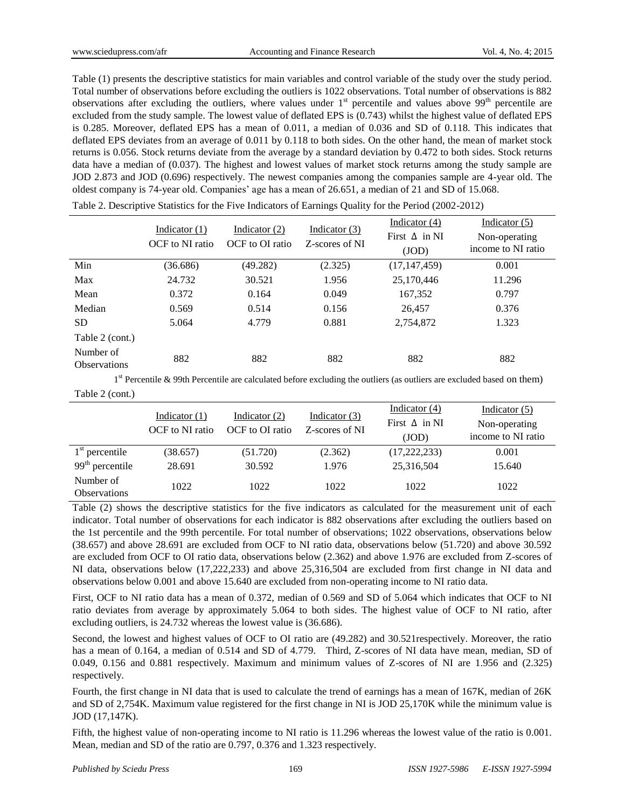Table (1) presents the descriptive statistics for main variables and control variable of the study over the study period. Total number of observations before excluding the outliers is 1022 observations. Total number of observations is 882 observations after excluding the outliers, where values under  $1<sup>st</sup>$  percentile and values above 99<sup>th</sup> percentile are excluded from the study sample. The lowest value of deflated EPS is (0.743) whilst the highest value of deflated EPS is 0.285. Moreover, deflated EPS has a mean of 0.011, a median of 0.036 and SD of 0.118. This indicates that deflated EPS deviates from an average of 0.011 by 0.118 to both sides. On the other hand, the mean of market stock returns is 0.056. Stock returns deviate from the average by a standard deviation by 0.472 to both sides. Stock returns data have a median of (0.037). The highest and lowest values of market stock returns among the study sample are JOD 2.873 and JOD (0.696) respectively. The newest companies among the companies sample are 4-year old. The oldest company is 74-year old. Companies' age has a mean of 26.651, a median of 21 and SD of 15.068.

|                                  | Indicator $(1)$<br>OCF to NI ratio | Indicator $(2)$<br>OCF to OI ratio | Indicator $(3)$<br>Z-scores of NI | Indicator $(4)$<br>First $\Delta$ in NI<br>(JOD) | Indicator $(5)$<br>Non-operating<br>income to NI ratio |
|----------------------------------|------------------------------------|------------------------------------|-----------------------------------|--------------------------------------------------|--------------------------------------------------------|
| Min                              | (36.686)                           | (49.282)                           | (2.325)                           | (17, 147, 459)                                   | 0.001                                                  |
| Max                              | 24.732                             | 30.521                             | 1.956                             | 25,170,446                                       | 11.296                                                 |
| Mean                             | 0.372                              | 0.164                              | 0.049                             | 167,352                                          | 0.797                                                  |
| Median                           | 0.569                              | 0.514                              | 0.156                             | 26.457                                           | 0.376                                                  |
| <b>SD</b>                        | 5.064                              | 4.779                              | 0.881                             | 2,754,872                                        | 1.323                                                  |
| Table 2 (cont.)                  |                                    |                                    |                                   |                                                  |                                                        |
| Number of<br><b>Observations</b> | 882                                | 882                                | 882                               | 882                                              | 882                                                    |

Table 2. Descriptive Statistics for the Five Indicators of Earnings Quality for the Period (2002-2012)

1<sup>st</sup> Percentile & 99th Percentile are calculated before excluding the outliers (as outliers are excluded based on them) Table 2 (cont.)

|                                  | Indicator $(1)$<br>OCF to NI ratio | Indicator $(2)$<br>OCF to OI ratio | Indicator $(3)$<br>Z-scores of NI | Indicator $(4)$<br>First $\Delta$ in NI<br>(JOD) | Indicator $(5)$<br>Non-operating<br>income to NI ratio |
|----------------------------------|------------------------------------|------------------------------------|-----------------------------------|--------------------------------------------------|--------------------------------------------------------|
| $1st$ percentile                 | (38.657)                           | (51.720)                           | (2.362)                           | (17, 222, 233)                                   | 0.001                                                  |
| $99th$ percentile                | 28.691                             | 30.592                             | 1.976                             | 25,316,504                                       | 15.640                                                 |
| Number of<br><b>Observations</b> | 1022                               | 1022                               | 1022                              | 1022                                             | 1022                                                   |

Table (2) shows the descriptive statistics for the five indicators as calculated for the measurement unit of each indicator. Total number of observations for each indicator is 882 observations after excluding the outliers based on the 1st percentile and the 99th percentile. For total number of observations; 1022 observations, observations below (38.657) and above 28.691 are excluded from OCF to NI ratio data, observations below (51.720) and above 30.592 are excluded from OCF to OI ratio data, observations below (2.362) and above 1.976 are excluded from Z-scores of NI data, observations below (17,222,233) and above 25,316,504 are excluded from first change in NI data and observations below 0.001 and above 15.640 are excluded from non-operating income to NI ratio data.

First, OCF to NI ratio data has a mean of 0.372, median of 0.569 and SD of 5.064 which indicates that OCF to NI ratio deviates from average by approximately 5.064 to both sides. The highest value of OCF to NI ratio, after excluding outliers, is 24.732 whereas the lowest value is (36.686).

Second, the lowest and highest values of OCF to OI ratio are (49.282) and 30.521respectively. Moreover, the ratio has a mean of 0.164, a median of 0.514 and SD of 4.779. Third, Z-scores of NI data have mean, median, SD of 0.049, 0.156 and 0.881 respectively. Maximum and minimum values of Z-scores of NI are 1.956 and (2.325) respectively.

Fourth, the first change in NI data that is used to calculate the trend of earnings has a mean of 167K, median of 26K and SD of 2,754K. Maximum value registered for the first change in NI is JOD 25,170K while the minimum value is JOD (17,147K).

Fifth, the highest value of non-operating income to NI ratio is 11.296 whereas the lowest value of the ratio is 0.001. Mean, median and SD of the ratio are 0.797, 0.376 and 1.323 respectively.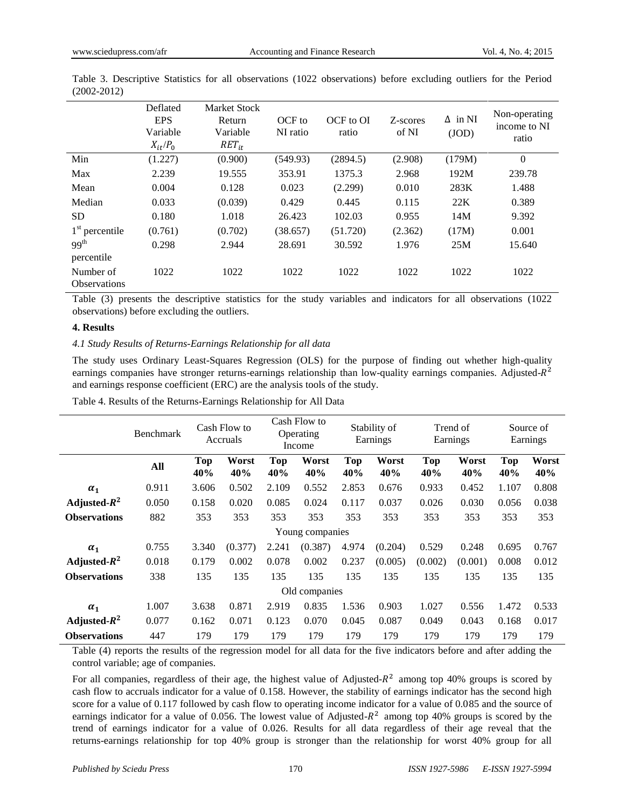|                                  | Deflated<br><b>EPS</b><br>Variable<br>$X_{it}/P_0$ | <b>Market Stock</b><br>Return<br>Variable<br>$RET_{it}$ | OCF to<br>NI ratio | OCF to OI<br>ratio | Z-scores<br>of NI | $\Delta$ in NI<br>(JOD) | Non-operating<br>income to NI<br>ratio |
|----------------------------------|----------------------------------------------------|---------------------------------------------------------|--------------------|--------------------|-------------------|-------------------------|----------------------------------------|
| Min                              | (1.227)                                            | (0.900)                                                 | (549.93)           | (2894.5)           | (2.908)           | (179M)                  | $\theta$                               |
| Max                              | 2.239                                              | 19.555                                                  | 353.91             | 1375.3             | 2.968             | 192M                    | 239.78                                 |
| Mean                             | 0.004                                              | 0.128                                                   | 0.023              | (2.299)            | 0.010             | 283K                    | 1.488                                  |
| Median                           | 0.033                                              | (0.039)                                                 | 0.429              | 0.445              | 0.115             | 22K                     | 0.389                                  |
| <b>SD</b>                        | 0.180                                              | 1.018                                                   | 26.423             | 102.03             | 0.955             | 14M                     | 9.392                                  |
| $1st$ percentile                 | (0.761)                                            | (0.702)                                                 | (38.657)           | (51.720)           | (2.362)           | (17M)                   | 0.001                                  |
| 99 <sup>th</sup>                 | 0.298                                              | 2.944                                                   | 28.691             | 30.592             | 1.976             | 25M                     | 15.640                                 |
| percentile                       |                                                    |                                                         |                    |                    |                   |                         |                                        |
| Number of<br><b>Observations</b> | 1022                                               | 1022                                                    | 1022               | 1022               | 1022              | 1022                    | 1022                                   |

Table 3. Descriptive Statistics for all observations (1022 observations) before excluding outliers for the Period (2002-2012)

Table (3) presents the descriptive statistics for the study variables and indicators for all observations (1022 observations) before excluding the outliers.

#### **4. Results**

#### *4.1 Study Results of Returns-Earnings Relationship for all data*

The study uses Ordinary Least-Squares Regression (OLS) for the purpose of finding out whether high-quality earnings companies have stronger returns-earnings relationship than low-quality earnings companies. Adjusted- $R^2$ and earnings response coefficient (ERC) are the analysis tools of the study.

Table 4. Results of the Returns-Earnings Relationship for All Data

|                     | <b>Benchmark</b> |            | Cash Flow to<br>Accruals |            | Cash Flow to<br>Operating<br>Income |                   | Stability of<br>Earnings | Earnings          | Trend of     |            | Source of<br>Earnings |
|---------------------|------------------|------------|--------------------------|------------|-------------------------------------|-------------------|--------------------------|-------------------|--------------|------------|-----------------------|
|                     | All              | Top<br>40% | Worst<br>40%             | Top<br>40% | Worst<br>40%                        | <b>Top</b><br>40% | Worst<br>40%             | <b>Top</b><br>40% | Worst<br>40% | Top<br>40% | Worst<br>40%          |
| $\alpha_1$          | 0.911            | 3.606      | 0.502                    | 2.109      | 0.552                               | 2.853             | 0.676                    | 0.933             | 0.452        | 1.107      | 0.808                 |
| Adjusted- $R^2$     | 0.050            | 0.158      | 0.020                    | 0.085      | 0.024                               | 0.117             | 0.037                    | 0.026             | 0.030        | 0.056      | 0.038                 |
| <b>Observations</b> | 882              | 353        | 353                      | 353        | 353                                 | 353               | 353                      | 353               | 353          | 353        | 353                   |
|                     |                  |            |                          |            | Young companies                     |                   |                          |                   |              |            |                       |
| $\alpha_1$          | 0.755            | 3.340      | (0.377)                  | 2.241      | (0.387)                             | 4.974             | (0.204)                  | 0.529             | 0.248        | 0.695      | 0.767                 |
| Adjusted- $R^2$     | 0.018            | 0.179      | 0.002                    | 0.078      | 0.002                               | 0.237             | (0.005)                  | (0.002)           | (0.001)      | 0.008      | 0.012                 |
| <b>Observations</b> | 338              | 135        | 135                      | 135        | 135                                 | 135               | 135                      | 135               | 135          | 135        | 135                   |
|                     |                  |            |                          |            | Old companies                       |                   |                          |                   |              |            |                       |
| $\alpha_1$          | 1.007            | 3.638      | 0.871                    | 2.919      | 0.835                               | 1.536             | 0.903                    | 1.027             | 0.556        | 1.472      | 0.533                 |
| Adjusted- $R^2$     | 0.077            | 0.162      | 0.071                    | 0.123      | 0.070                               | 0.045             | 0.087                    | 0.049             | 0.043        | 0.168      | 0.017                 |
| <b>Observations</b> | 447              | 179        | 179                      | 179        | 179                                 | 179               | 179                      | 179               | 179          | 179        | 179                   |

Table (4) reports the results of the regression model for all data for the five indicators before and after adding the control variable; age of companies.

For all companies, regardless of their age, the highest value of Adjusted- $R^2$  among top 40% groups is scored by cash flow to accruals indicator for a value of 0.158. However, the stability of earnings indicator has the second high score for a value of 0.117 followed by cash flow to operating income indicator for a value of 0.085 and the source of earnings indicator for a value of 0.056. The lowest value of Adjusted- $R^2$  among top 40% groups is scored by the trend of earnings indicator for a value of 0.026. Results for all data regardless of their age reveal that the returns-earnings relationship for top 40% group is stronger than the relationship for worst 40% group for all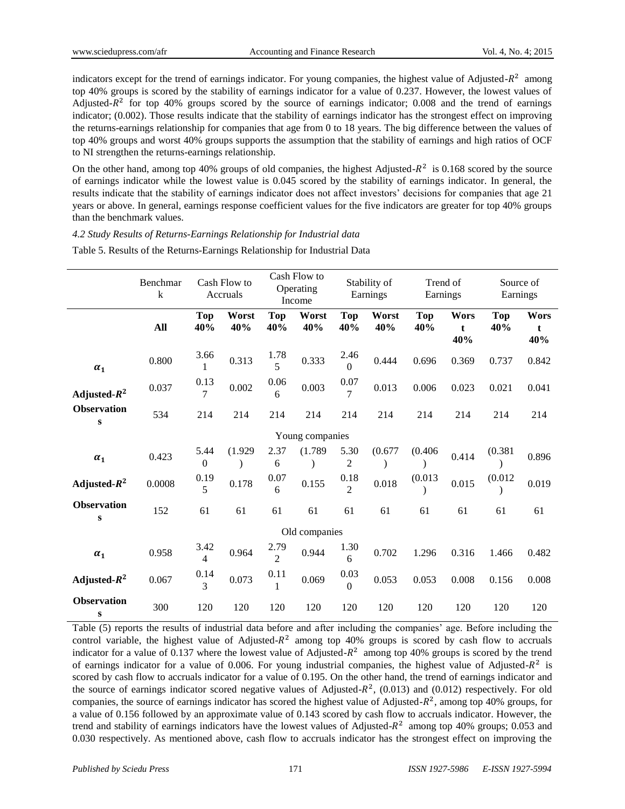indicators except for the trend of earnings indicator. For young companies, the highest value of Adjusted- $R^2$  among top 40% groups is scored by the stability of earnings indicator for a value of 0.237. However, the lowest values of Adjusted- $R^2$  for top 40% groups scored by the source of earnings indicator; 0.008 and the trend of earnings indicator; (0.002). Those results indicate that the stability of earnings indicator has the strongest effect on improving the returns-earnings relationship for companies that age from 0 to 18 years. The big difference between the values of top 40% groups and worst 40% groups supports the assumption that the stability of earnings and high ratios of OCF to NI strengthen the returns-earnings relationship.

On the other hand, among top 40% groups of old companies, the highest Adjusted- $R^2$  is 0.168 scored by the source of earnings indicator while the lowest value is 0.045 scored by the stability of earnings indicator. In general, the results indicate that the stability of earnings indicator does not affect investors' decisions for companies that age 21 years or above. In general, earnings response coefficient values for the five indicators are greater for top 40% groups than the benchmark values.

#### *4.2 Study Results of Returns-Earnings Relationship for Industrial data*

|                                    | Benchmar<br>$\mathbf k$ |                        | Cash Flow to<br>Accruals |                        | Cash Flow to<br>Operating<br>Income |                        | Stability of<br>Earnings | Trend of<br>Earnings |                  | Source of<br>Earnings |                  |
|------------------------------------|-------------------------|------------------------|--------------------------|------------------------|-------------------------------------|------------------------|--------------------------|----------------------|------------------|-----------------------|------------------|
|                                    | All                     | <b>Top</b><br>40%      | Worst<br>40%             | <b>Top</b><br>40%      | Worst<br>40%                        | <b>Top</b><br>40%      | Worst<br>40%             | <b>Top</b><br>40%    | Wors<br>t<br>40% | Top<br>40%            | Wors<br>t<br>40% |
| $\pmb{\alpha}_1$                   | 0.800                   | 3.66                   | 0.313                    | 1.78<br>5              | 0.333                               | 2.46<br>$\theta$       | 0.444                    | 0.696                | 0.369            | 0.737                 | 0.842            |
| Adjusted- $R^2$                    | 0.037                   | 0.13<br>$\mathcal{I}$  | 0.002                    | 0.06<br>6              | 0.003                               | 0.07<br>$\overline{7}$ | 0.013                    | 0.006                | 0.023            | 0.021                 | 0.041            |
| <b>Observation</b><br>S            | 534                     | 214                    | 214                      | 214                    | 214                                 | 214                    | 214                      | 214                  | 214              | 214                   | 214              |
|                                    |                         |                        |                          |                        | Young companies                     |                        |                          |                      |                  |                       |                  |
| $\pmb{\alpha}_1$                   | 0.423                   | 5.44<br>$\overline{0}$ | (1.929)                  | 2.37<br>6              | (1.789)                             | 5.30<br>$\mathbf{2}$   | (0.677)                  | (0.406)              | 0.414            | (0.381)               | 0.896            |
| Adjusted- $R^2$                    | 0.0008                  | 0.19<br>5              | 0.178                    | 0.07<br>6              | 0.155                               | 0.18<br>$\overline{2}$ | 0.018                    | (0.013)              | 0.015            | (0.012)               | 0.019            |
| <b>Observation</b><br>$\mathbf{s}$ | 152                     | 61                     | 61                       | 61                     | 61                                  | 61                     | 61                       | 61                   | 61               | 61                    | 61               |
|                                    |                         |                        |                          |                        | Old companies                       |                        |                          |                      |                  |                       |                  |
| $\pmb{\alpha}_1$                   | 0.958                   | 3.42<br>$\overline{4}$ | 0.964                    | 2.79<br>$\overline{2}$ | 0.944                               | 1.30<br>6              | 0.702                    | 1.296                | 0.316            | 1.466                 | 0.482            |
| Adjusted- $R^2$                    | 0.067                   | 0.14<br>$\overline{3}$ | 0.073                    | 0.11                   | 0.069                               | 0.03<br>$\Omega$       | 0.053                    | 0.053                | 0.008            | 0.156                 | 0.008            |
| <b>Observation</b><br>$\mathbf{s}$ | 300                     | 120                    | 120                      | 120                    | 120                                 | 120                    | 120                      | 120                  | 120              | 120                   | 120              |

Table 5. Results of the Returns-Earnings Relationship for Industrial Data

Table (5) reports the results of industrial data before and after including the companies' age. Before including the control variable, the highest value of Adjusted- $R^2$  among top 40% groups is scored by cash flow to accruals indicator for a value of 0.137 where the lowest value of Adjusted- $R^2$  among top 40% groups is scored by the trend of earnings indicator for a value of 0.006. For young industrial companies, the highest value of Adjusted- $R^2$  is scored by cash flow to accruals indicator for a value of 0.195. On the other hand, the trend of earnings indicator and the source of earnings indicator scored negative values of Adjusted- $R^2$ , (0.013) and (0.012) respectively. For old companies, the source of earnings indicator has scored the highest value of Adjusted- $R^2$ , among top 40% groups, for a value of 0.156 followed by an approximate value of 0.143 scored by cash flow to accruals indicator. However, the trend and stability of earnings indicators have the lowest values of Adjusted- $R^2$  among top 40% groups; 0.053 and 0.030 respectively. As mentioned above, cash flow to accruals indicator has the strongest effect on improving the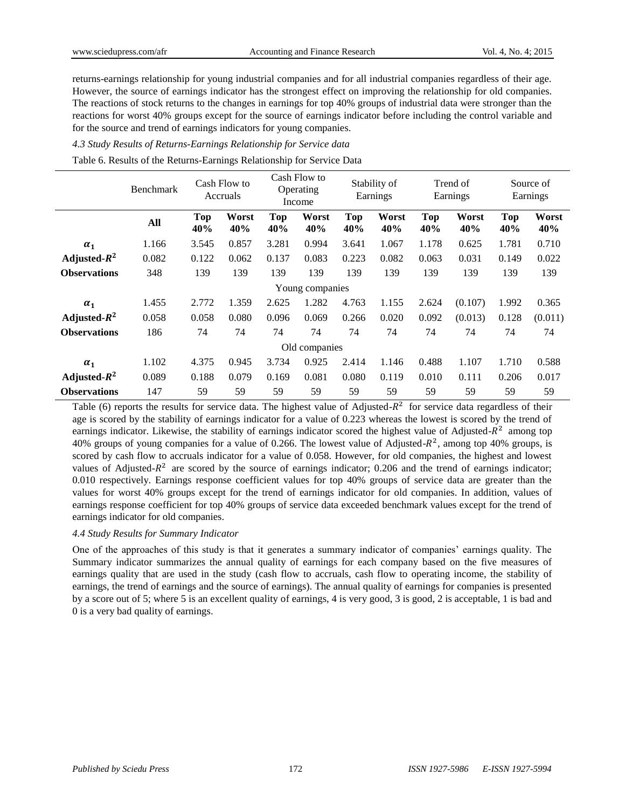returns-earnings relationship for young industrial companies and for all industrial companies regardless of their age. However, the source of earnings indicator has the strongest effect on improving the relationship for old companies. The reactions of stock returns to the changes in earnings for top 40% groups of industrial data were stronger than the reactions for worst 40% groups except for the source of earnings indicator before including the control variable and for the source and trend of earnings indicators for young companies.

#### *4.3 Study Results of Returns-Earnings Relationship for Service data*

Table 6. Results of the Returns-Earnings Relationship for Service Data

|                     | <b>Benchmark</b> |            | Cash Flow to<br>Accruals |                   | Cash Flow to<br>Operating<br>Income |                   | Stability of<br>Earnings |                   | Trend of<br>Earnings |                   | Source of<br>Earnings |
|---------------------|------------------|------------|--------------------------|-------------------|-------------------------------------|-------------------|--------------------------|-------------------|----------------------|-------------------|-----------------------|
|                     | All              | Top<br>40% | Worst<br>40%             | <b>Top</b><br>40% | Worst<br>40%                        | <b>Top</b><br>40% | Worst<br>40%             | <b>Top</b><br>40% | Worst<br>40%         | <b>Top</b><br>40% | Worst<br>40%          |
| $\alpha_1$          | 1.166            | 3.545      | 0.857                    | 3.281             | 0.994                               | 3.641             | 1.067                    | 1.178             | 0.625                | 1.781             | 0.710                 |
| Adjusted- $R^2$     | 0.082            | 0.122      | 0.062                    | 0.137             | 0.083                               | 0.223             | 0.082                    | 0.063             | 0.031                | 0.149             | 0.022                 |
| <b>Observations</b> | 348              | 139        | 139                      | 139               | 139                                 | 139               | 139                      | 139               | 139                  | 139               | 139                   |
|                     |                  |            |                          |                   | Young companies                     |                   |                          |                   |                      |                   |                       |
| $\alpha_1$          | 1.455            | 2.772      | 1.359                    | 2.625             | 1.282                               | 4.763             | 1.155                    | 2.624             | (0.107)              | 1.992             | 0.365                 |
| Adjusted- $R^2$     | 0.058            | 0.058      | 0.080                    | 0.096             | 0.069                               | 0.266             | 0.020                    | 0.092             | (0.013)              | 0.128             | (0.011)               |
| <b>Observations</b> | 186              | 74         | 74                       | 74                | 74                                  | 74                | 74                       | 74                | 74                   | 74                | 74                    |
|                     |                  |            |                          |                   | Old companies                       |                   |                          |                   |                      |                   |                       |
| $\alpha_1$          | 1.102            | 4.375      | 0.945                    | 3.734             | 0.925                               | 2.414             | 1.146                    | 0.488             | 1.107                | 1.710             | 0.588                 |
| Adjusted- $R^2$     | 0.089            | 0.188      | 0.079                    | 0.169             | 0.081                               | 0.080             | 0.119                    | 0.010             | 0.111                | 0.206             | 0.017                 |
| <b>Observations</b> | 147              | 59         | 59                       | 59                | 59                                  | 59                | 59                       | 59                | 59                   | 59                | 59                    |

Table (6) reports the results for service data. The highest value of Adjusted- $R^2$  for service data regardless of their age is scored by the stability of earnings indicator for a value of 0.223 whereas the lowest is scored by the trend of earnings indicator. Likewise, the stability of earnings indicator scored the highest value of Adjusted- $R^2$  among top 40% groups of young companies for a value of 0.266. The lowest value of Adjusted- $R^2$ , among top 40% groups, is scored by cash flow to accruals indicator for a value of 0.058. However, for old companies, the highest and lowest values of Adjusted- $R^2$  are scored by the source of earnings indicator; 0.206 and the trend of earnings indicator; 0.010 respectively. Earnings response coefficient values for top 40% groups of service data are greater than the values for worst 40% groups except for the trend of earnings indicator for old companies. In addition, values of earnings response coefficient for top 40% groups of service data exceeded benchmark values except for the trend of earnings indicator for old companies.

#### *4.4 Study Results for Summary Indicator*

One of the approaches of this study is that it generates a summary indicator of companies' earnings quality. The Summary indicator summarizes the annual quality of earnings for each company based on the five measures of earnings quality that are used in the study (cash flow to accruals, cash flow to operating income, the stability of earnings, the trend of earnings and the source of earnings). The annual quality of earnings for companies is presented by a score out of 5; where 5 is an excellent quality of earnings, 4 is very good, 3 is good, 2 is acceptable, 1 is bad and 0 is a very bad quality of earnings.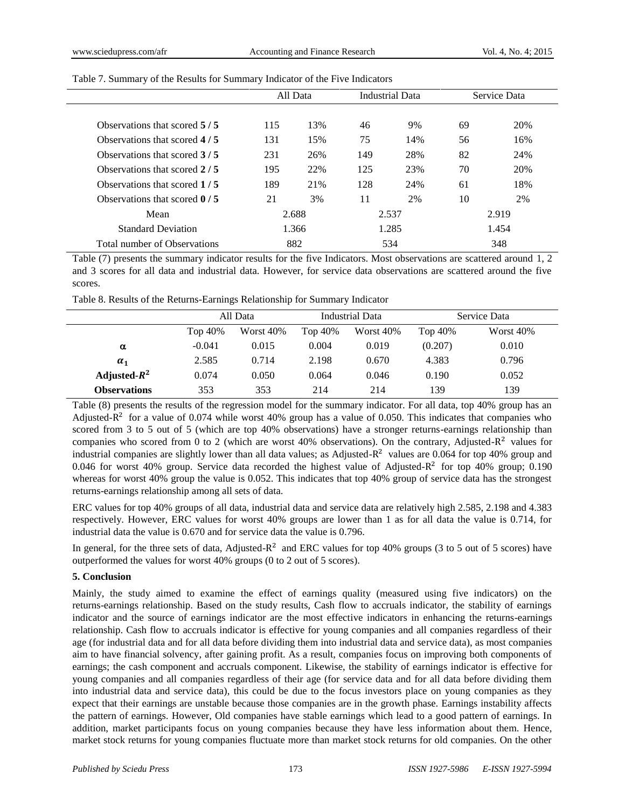|                                |     | All Data |     | Industrial Data |    | Service Data |
|--------------------------------|-----|----------|-----|-----------------|----|--------------|
| Observations that scored 5/5   | 115 | 13%      | 46  | 9%              | 69 | 20%          |
| Observations that scored 4/5   | 131 | 15%      | 75  | 14%             | 56 | 16%          |
| Observations that scored 3/5   | 231 | 26%      | 149 | 28%             | 82 | 24%          |
| Observations that scored 2/5   | 195 | 22%      | 125 | 23%             | 70 | 20%          |
| Observations that scored 1/5   | 189 | 21%      | 128 | 24%             | 61 | 18%          |
| Observations that scored $0/5$ | 21  | 3%       | 11  | 2%              | 10 | 2%           |
| Mean                           |     | 2.688    |     | 2.537           |    | 2.919        |
| <b>Standard Deviation</b>      |     | 1.366    |     | 1.285           |    | 1.454        |
| Total number of Observations   |     | 882      |     | 534             |    | 348          |

Table 7. Summary of the Results for Summary Indicator of the Five Indicators

Table (7) presents the summary indicator results for the five Indicators. Most observations are scattered around 1, 2 and 3 scores for all data and industrial data. However, for service data observations are scattered around the five scores.

Table 8. Results of the Returns-Earnings Relationship for Summary Indicator

|                     |                         | All Data |            | Industrial Data | Service Data |           |  |
|---------------------|-------------------------|----------|------------|-----------------|--------------|-----------|--|
|                     | Worst 40%<br>Top $40\%$ |          | Top $40\%$ | Worst 40%       | Top $40\%$   | Worst 40% |  |
| α                   | $-0.041$                | 0.015    | 0.004      | 0.019           | (0.207)      | 0.010     |  |
| $\alpha_1$          | 2.585                   | 0.714    | 2.198      | 0.670           | 4.383        | 0.796     |  |
| Adjusted- $R^2$     | 0.074                   | 0.050    | 0.064      | 0.046           | 0.190        | 0.052     |  |
| <b>Observations</b> | 353                     | 353      | 214        | 214             | 139          | 139       |  |

Table (8) presents the results of the regression model for the summary indicator. For all data, top 40% group has an Adjusted- $R^2$  for a value of 0.074 while worst 40% group has a value of 0.050. This indicates that companies who scored from 3 to 5 out of 5 (which are top 40% observations) have a stronger returns-earnings relationship than companies who scored from 0 to 2 (which are worst 40% observations). On the contrary, Adjusted- $R^2$  values for industrial companies are slightly lower than all data values; as Adjusted- $R^2$  values are 0.064 for top 40% group and 0.046 for worst 40% group. Service data recorded the highest value of Adjusted- $R^2$  for top 40% group; 0.190 whereas for worst 40% group the value is 0.052. This indicates that top 40% group of service data has the strongest returns-earnings relationship among all sets of data.

ERC values for top 40% groups of all data, industrial data and service data are relatively high 2.585, 2.198 and 4.383 respectively. However, ERC values for worst 40% groups are lower than 1 as for all data the value is 0.714, for industrial data the value is 0.670 and for service data the value is 0.796.

In general, for the three sets of data, Adjusted- $R^2$  and ERC values for top 40% groups (3 to 5 out of 5 scores) have outperformed the values for worst 40% groups (0 to 2 out of 5 scores).

#### **5. Conclusion**

Mainly, the study aimed to examine the effect of earnings quality (measured using five indicators) on the returns-earnings relationship. Based on the study results, Cash flow to accruals indicator, the stability of earnings indicator and the source of earnings indicator are the most effective indicators in enhancing the returns-earnings relationship. Cash flow to accruals indicator is effective for young companies and all companies regardless of their age (for industrial data and for all data before dividing them into industrial data and service data), as most companies aim to have financial solvency, after gaining profit. As a result, companies focus on improving both components of earnings; the cash component and accruals component. Likewise, the stability of earnings indicator is effective for young companies and all companies regardless of their age (for service data and for all data before dividing them into industrial data and service data), this could be due to the focus investors place on young companies as they expect that their earnings are unstable because those companies are in the growth phase. Earnings instability affects the pattern of earnings. However, Old companies have stable earnings which lead to a good pattern of earnings. In addition, market participants focus on young companies because they have less information about them. Hence, market stock returns for young companies fluctuate more than market stock returns for old companies. On the other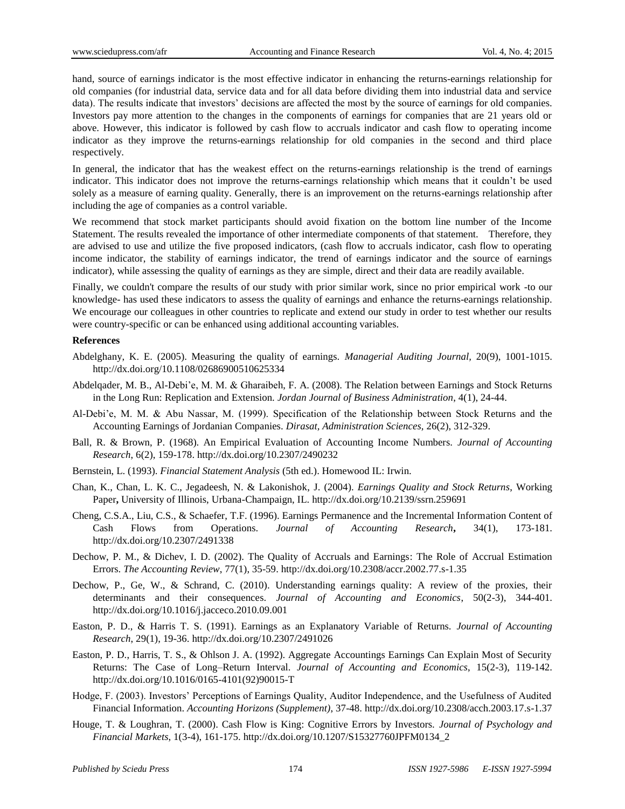hand, source of earnings indicator is the most effective indicator in enhancing the returns-earnings relationship for old companies (for industrial data, service data and for all data before dividing them into industrial data and service data). The results indicate that investors' decisions are affected the most by the source of earnings for old companies. Investors pay more attention to the changes in the components of earnings for companies that are 21 years old or above. However, this indicator is followed by cash flow to accruals indicator and cash flow to operating income indicator as they improve the returns-earnings relationship for old companies in the second and third place respectively.

In general, the indicator that has the weakest effect on the returns-earnings relationship is the trend of earnings indicator. This indicator does not improve the returns-earnings relationship which means that it couldn't be used solely as a measure of earning quality. Generally, there is an improvement on the returns-earnings relationship after including the age of companies as a control variable.

We recommend that stock market participants should avoid fixation on the bottom line number of the Income Statement. The results revealed the importance of other intermediate components of that statement. Therefore, they are advised to use and utilize the five proposed indicators, (cash flow to accruals indicator, cash flow to operating income indicator, the stability of earnings indicator, the trend of earnings indicator and the source of earnings indicator), while assessing the quality of earnings as they are simple, direct and their data are readily available.

Finally, we couldn't compare the results of our study with prior similar work, since no prior empirical work -to our knowledge- has used these indicators to assess the quality of earnings and enhance the returns-earnings relationship. We encourage our colleagues in other countries to replicate and extend our study in order to test whether our results were country-specific or can be enhanced using additional accounting variables.

#### **References**

- Abdelghany, K. E. (2005). Measuring the quality of earnings. *Managerial Auditing Journal,* 20(9), 1001-1015. <http://dx.doi.org/10.1108/02686900510625334>
- Abdelqader, M. B., Al-Debi'e, M. M. & Gharaibeh, F. A. (2008). The Relation between Earnings and Stock Returns in the Long Run: Replication and Extension. *Jordan Journal of Business Administration*, 4(1), 24-44.
- Al-Debi'e, M. M. & Abu Nassar, M. (1999). Specification of the Relationship between Stock Returns and the Accounting Earnings of Jordanian Companies. *Dirasat, Administration Sciences,* 26(2), 312-329.
- Ball, R. & Brown, P. (1968). An Empirical Evaluation of Accounting Income Numbers. *Journal of Accounting Research*, 6(2), 159-178.<http://dx.doi.org/10.2307/2490232>
- Bernstein, L. (1993). *Financial Statement Analysis* (5th ed.). Homewood IL: Irwin.
- Chan, K., Chan, L. K. C., Jegadeesh, N. & Lakonishok, J. (2004). *Earnings Quality and Stock Returns*, Working Paper**,** University of Illinois, Urbana-Champaign, IL.<http://dx.doi.org/10.2139/ssrn.259691>
- Cheng, C.S.A., Liu, C.S., & Schaefer, T.F. (1996). Earnings Permanence and the Incremental Information Content of Cash Flows from Operations. *Journal of Accounting Research***,** 34(1), 173-181. <http://dx.doi.org/10.2307/2491338>
- Dechow, P. M., & Dichev, I. D. (2002). The Quality of Accruals and Earnings: The Role of Accrual Estimation Errors. *The Accounting Review*, 77(1), 35-59.<http://dx.doi.org/10.2308/accr.2002.77.s-1.35>
- Dechow, P., Ge, W., & Schrand, C. (2010). Understanding earnings quality: A review of the proxies, their determinants and their consequences. *Journal of Accounting and Economics*, 50(2-3), 344-401. [http://dx.doi.org/10.1016/j.jacceco.2010.09.001](http://dx.doi.org/10.2307/2491338)
- Easton, P. D., & Harris T. S. (1991). Earnings as an Explanatory Variable of Returns. *Journal of Accounting Research*, 29(1), 19-36.<http://dx.doi.org/10.2307/2491026>
- Easton, P. D., Harris, T. S., & Ohlson J. A. (1992). Aggregate Accountings Earnings Can Explain Most of Security Returns: The Case of Long–Return Interval. *Journal of Accounting and Economics*, 15(2-3), 119-142. [http://dx.doi.org/10.1016/0165-4101\(92\)90015-T](http://dx.doi.org/10.1016/0165-4101(92)90015-T)
- Hodge, F. (2003). Investors' Perceptions of Earnings Quality, Auditor Independence, and the Usefulness of Audited Financial Information. *Accounting Horizons (Supplement)*, 37-48.<http://dx.doi.org/10.2308/acch.2003.17.s-1.37>
- Houge, T. & Loughran, T. (2000). Cash Flow is King: Cognitive Errors by Investors. *Journal of Psychology and Financial Markets*, 1(3-4), 161-175[. http://dx.doi.org/10.1207/S15327760JPFM0134\\_2](http://dx.doi.org/10.1207/S15327760JPFM0134_2)